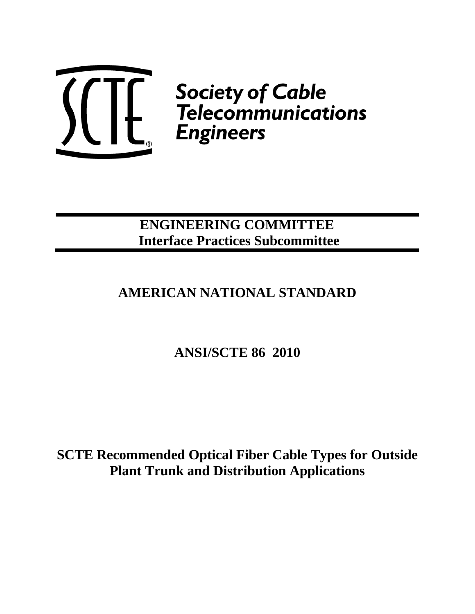

# **ENGINEERING COMMITTEE Interface Practices Subcommittee**

# **AMERICAN NATIONAL STANDARD**

**ANSI/SCTE 86 2010** 

**SCTE Recommended Optical Fiber Cable Types for Outside Plant Trunk and Distribution Applications**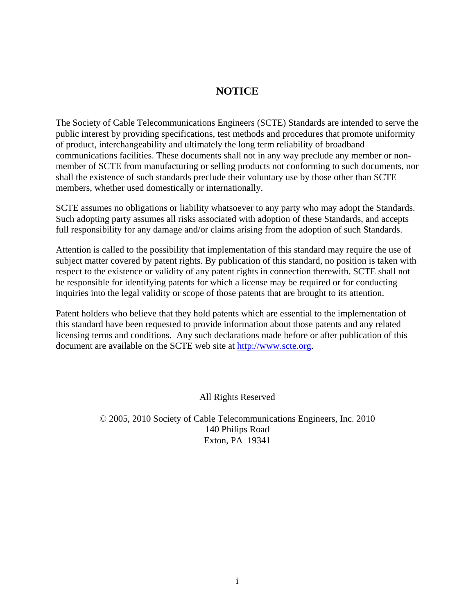### **NOTICE**

The Society of Cable Telecommunications Engineers (SCTE) Standards are intended to serve the public interest by providing specifications, test methods and procedures that promote uniformity of product, interchangeability and ultimately the long term reliability of broadband communications facilities. These documents shall not in any way preclude any member or nonmember of SCTE from manufacturing or selling products not conforming to such documents, nor shall the existence of such standards preclude their voluntary use by those other than SCTE members, whether used domestically or internationally.

SCTE assumes no obligations or liability whatsoever to any party who may adopt the Standards. Such adopting party assumes all risks associated with adoption of these Standards, and accepts full responsibility for any damage and/or claims arising from the adoption of such Standards.

Attention is called to the possibility that implementation of this standard may require the use of subject matter covered by patent rights. By publication of this standard, no position is taken with respect to the existence or validity of any patent rights in connection therewith. SCTE shall not be responsible for identifying patents for which a license may be required or for conducting inquiries into the legal validity or scope of those patents that are brought to its attention.

Patent holders who believe that they hold patents which are essential to the implementation of this standard have been requested to provide information about those patents and any related licensing terms and conditions. Any such declarations made before or after publication of this document are available on the SCTE web site at http://www.scte.org.

All Rights Reserved

© 2005, 2010 Society of Cable Telecommunications Engineers, Inc. 2010 140 Philips Road Exton, PA 19341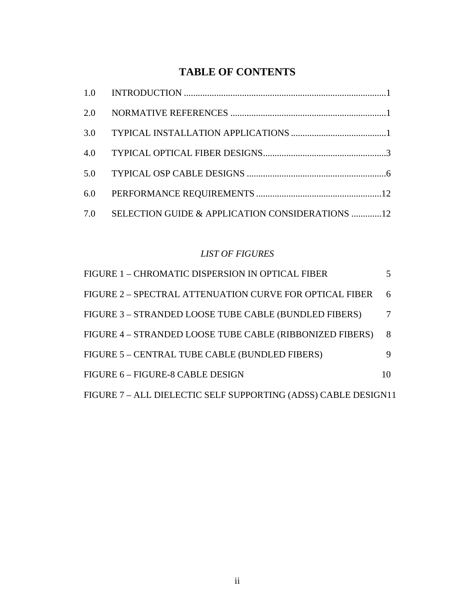## **TABLE OF CONTENTS**

| 7.0 | SELECTION GUIDE & APPLICATION CONSIDERATIONS 12 |  |
|-----|-------------------------------------------------|--|

### *LIST OF FIGURES*

| FIGURE 1 - CHROMATIC DISPERSION IN OPTICAL FIBER               |    |  |  |
|----------------------------------------------------------------|----|--|--|
| FIGURE 2 – SPECTRAL ATTENUATION CURVE FOR OPTICAL FIBER        | 6  |  |  |
| FIGURE 3 - STRANDED LOOSE TUBE CABLE (BUNDLED FIBERS)          |    |  |  |
| FIGURE 4 – STRANDED LOOSE TUBE CABLE (RIBBONIZED FIBERS)       | 8  |  |  |
| FIGURE 5 – CENTRAL TUBE CABLE (BUNDLED FIBERS)                 |    |  |  |
| FIGURE 6 - FIGURE-8 CABLE DESIGN                               | 10 |  |  |
| FIGURE 7 - ALL DIELECTIC SELF SUPPORTING (ADSS) CABLE DESIGN11 |    |  |  |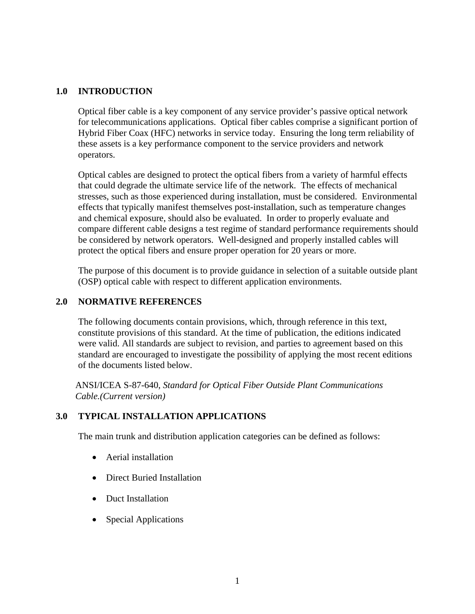#### **1.0 INTRODUCTION**

Optical fiber cable is a key component of any service provider's passive optical network for telecommunications applications. Optical fiber cables comprise a significant portion of Hybrid Fiber Coax (HFC) networks in service today. Ensuring the long term reliability of these assets is a key performance component to the service providers and network operators.

Optical cables are designed to protect the optical fibers from a variety of harmful effects that could degrade the ultimate service life of the network. The effects of mechanical stresses, such as those experienced during installation, must be considered. Environmental effects that typically manifest themselves post-installation, such as temperature changes and chemical exposure, should also be evaluated. In order to properly evaluate and compare different cable designs a test regime of standard performance requirements should be considered by network operators. Well-designed and properly installed cables will protect the optical fibers and ensure proper operation for 20 years or more.

The purpose of this document is to provide guidance in selection of a suitable outside plant (OSP) optical cable with respect to different application environments.

#### **2.0 NORMATIVE REFERENCES**

The following documents contain provisions, which, through reference in this text, constitute provisions of this standard. At the time of publication, the editions indicated were valid. All standards are subject to revision, and parties to agreement based on this standard are encouraged to investigate the possibility of applying the most recent editions of the documents listed below.

ANSI/ICEA S-87-640, *Standard for Optical Fiber Outside Plant Communications Cable.(Current version)*

#### **3.0 TYPICAL INSTALLATION APPLICATIONS**

The main trunk and distribution application categories can be defined as follows:

- Aerial installation
- Direct Buried Installation
- Duct Installation
- Special Applications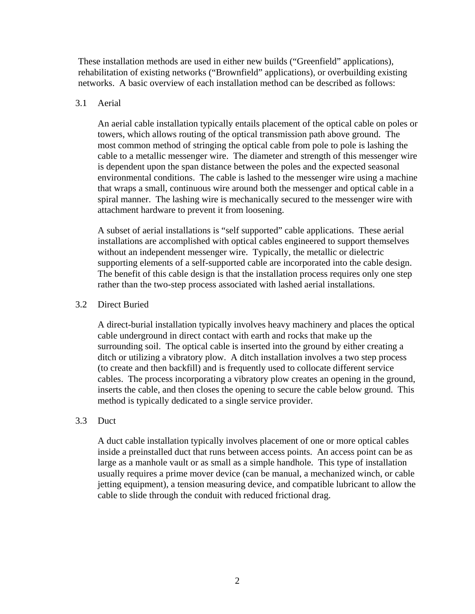These installation methods are used in either new builds ("Greenfield" applications), rehabilitation of existing networks ("Brownfield" applications), or overbuilding existing networks. A basic overview of each installation method can be described as follows:

#### 3.1 Aerial

An aerial cable installation typically entails placement of the optical cable on poles or towers, which allows routing of the optical transmission path above ground. The most common method of stringing the optical cable from pole to pole is lashing the cable to a metallic messenger wire. The diameter and strength of this messenger wire is dependent upon the span distance between the poles and the expected seasonal environmental conditions. The cable is lashed to the messenger wire using a machine that wraps a small, continuous wire around both the messenger and optical cable in a spiral manner. The lashing wire is mechanically secured to the messenger wire with attachment hardware to prevent it from loosening.

A subset of aerial installations is "self supported" cable applications. These aerial installations are accomplished with optical cables engineered to support themselves without an independent messenger wire. Typically, the metallic or dielectric supporting elements of a self-supported cable are incorporated into the cable design. The benefit of this cable design is that the installation process requires only one step rather than the two-step process associated with lashed aerial installations.

#### 3.2 Direct Buried

A direct-burial installation typically involves heavy machinery and places the optical cable underground in direct contact with earth and rocks that make up the surrounding soil. The optical cable is inserted into the ground by either creating a ditch or utilizing a vibratory plow. A ditch installation involves a two step process (to create and then backfill) and is frequently used to collocate different service cables. The process incorporating a vibratory plow creates an opening in the ground, inserts the cable, and then closes the opening to secure the cable below ground. This method is typically dedicated to a single service provider.

#### 3.3 Duct

A duct cable installation typically involves placement of one or more optical cables inside a preinstalled duct that runs between access points. An access point can be as large as a manhole vault or as small as a simple handhole. This type of installation usually requires a prime mover device (can be manual, a mechanized winch, or cable jetting equipment), a tension measuring device, and compatible lubricant to allow the cable to slide through the conduit with reduced frictional drag.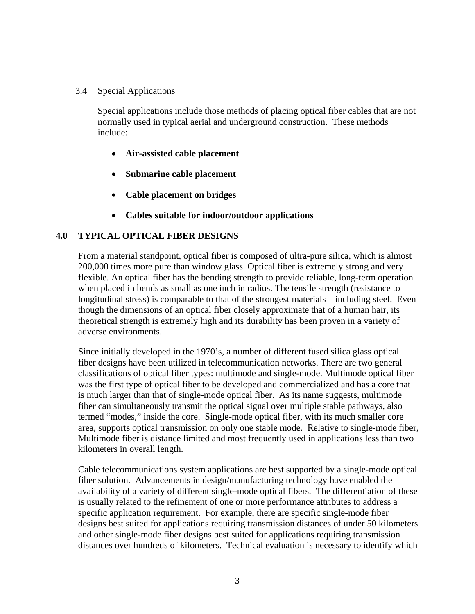3.4 Special Applications

Special applications include those methods of placing optical fiber cables that are not normally used in typical aerial and underground construction. These methods include:

- **Air-assisted cable placement**
- **Submarine cable placement**
- **Cable placement on bridges**
- **Cables suitable for indoor/outdoor applications**

#### **4.0 TYPICAL OPTICAL FIBER DESIGNS**

From a material standpoint, optical fiber is composed of ultra-pure silica, which is almost 200,000 times more pure than window glass. Optical fiber is extremely strong and very flexible. An optical fiber has the bending strength to provide reliable, long-term operation when placed in bends as small as one inch in radius. The tensile strength (resistance to longitudinal stress) is comparable to that of the strongest materials – including steel. Even though the dimensions of an optical fiber closely approximate that of a human hair, its theoretical strength is extremely high and its durability has been proven in a variety of adverse environments.

Since initially developed in the 1970's, a number of different fused silica glass optical fiber designs have been utilized in telecommunication networks. There are two general classifications of optical fiber types: multimode and single-mode. Multimode optical fiber was the first type of optical fiber to be developed and commercialized and has a core that is much larger than that of single-mode optical fiber. As its name suggests, multimode fiber can simultaneously transmit the optical signal over multiple stable pathways, also termed "modes," inside the core. Single-mode optical fiber, with its much smaller core area, supports optical transmission on only one stable mode. Relative to single-mode fiber, Multimode fiber is distance limited and most frequently used in applications less than two kilometers in overall length.

Cable telecommunications system applications are best supported by a single-mode optical fiber solution. Advancements in design/manufacturing technology have enabled the availability of a variety of different single-mode optical fibers. The differentiation of these is usually related to the refinement of one or more performance attributes to address a specific application requirement. For example, there are specific single-mode fiber designs best suited for applications requiring transmission distances of under 50 kilometers and other single-mode fiber designs best suited for applications requiring transmission distances over hundreds of kilometers. Technical evaluation is necessary to identify which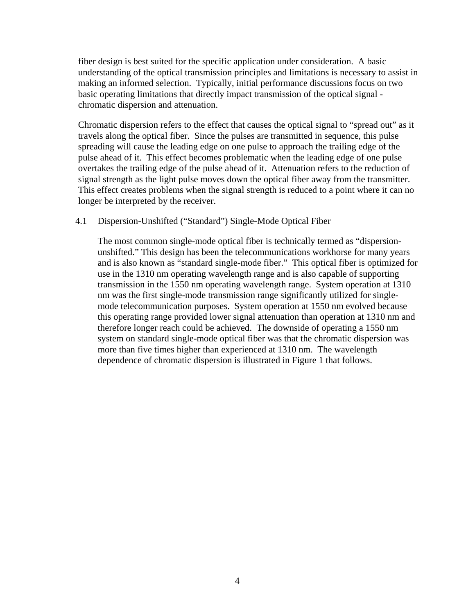fiber design is best suited for the specific application under consideration. A basic understanding of the optical transmission principles and limitations is necessary to assist in making an informed selection. Typically, initial performance discussions focus on two basic operating limitations that directly impact transmission of the optical signal chromatic dispersion and attenuation.

Chromatic dispersion refers to the effect that causes the optical signal to "spread out" as it travels along the optical fiber. Since the pulses are transmitted in sequence, this pulse spreading will cause the leading edge on one pulse to approach the trailing edge of the pulse ahead of it. This effect becomes problematic when the leading edge of one pulse overtakes the trailing edge of the pulse ahead of it. Attenuation refers to the reduction of signal strength as the light pulse moves down the optical fiber away from the transmitter. This effect creates problems when the signal strength is reduced to a point where it can no longer be interpreted by the receiver.

#### 4.1 Dispersion-Unshifted ("Standard") Single-Mode Optical Fiber

The most common single-mode optical fiber is technically termed as "dispersionunshifted." This design has been the telecommunications workhorse for many years and is also known as "standard single-mode fiber." This optical fiber is optimized for use in the 1310 nm operating wavelength range and is also capable of supporting transmission in the 1550 nm operating wavelength range. System operation at 1310 nm was the first single-mode transmission range significantly utilized for singlemode telecommunication purposes. System operation at 1550 nm evolved because this operating range provided lower signal attenuation than operation at 1310 nm and therefore longer reach could be achieved. The downside of operating a 1550 nm system on standard single-mode optical fiber was that the chromatic dispersion was more than five times higher than experienced at 1310 nm. The wavelength dependence of chromatic dispersion is illustrated in Figure 1 that follows.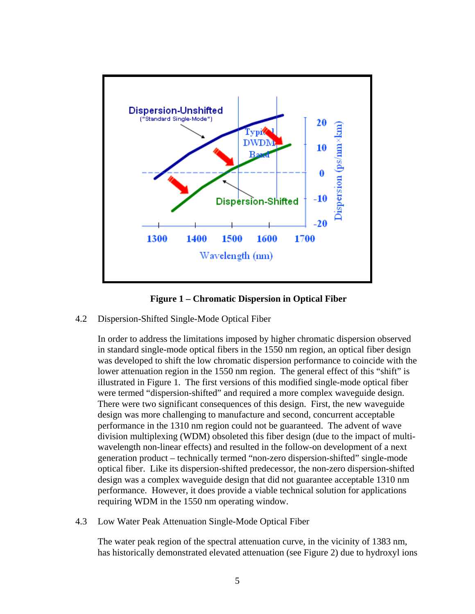

**Figure 1 – Chromatic Dispersion in Optical Fiber** 

4.2 Dispersion-Shifted Single-Mode Optical Fiber

In order to address the limitations imposed by higher chromatic dispersion observed in standard single-mode optical fibers in the 1550 nm region, an optical fiber design was developed to shift the low chromatic dispersion performance to coincide with the lower attenuation region in the 1550 nm region. The general effect of this "shift" is illustrated in Figure 1. The first versions of this modified single-mode optical fiber were termed "dispersion-shifted" and required a more complex waveguide design. There were two significant consequences of this design. First, the new waveguide design was more challenging to manufacture and second, concurrent acceptable performance in the 1310 nm region could not be guaranteed. The advent of wave division multiplexing (WDM) obsoleted this fiber design (due to the impact of multiwavelength non-linear effects) and resulted in the follow-on development of a next generation product – technically termed "non-zero dispersion-shifted" single-mode optical fiber. Like its dispersion-shifted predecessor, the non-zero dispersion-shifted design was a complex waveguide design that did not guarantee acceptable 1310 nm performance. However, it does provide a viable technical solution for applications requiring WDM in the 1550 nm operating window.

4.3 Low Water Peak Attenuation Single-Mode Optical Fiber

The water peak region of the spectral attenuation curve, in the vicinity of 1383 nm, has historically demonstrated elevated attenuation (see Figure 2) due to hydroxyl ions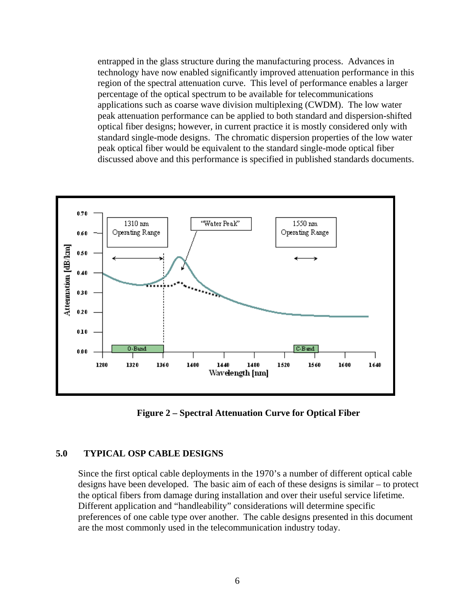entrapped in the glass structure during the manufacturing process. Advances in technology have now enabled significantly improved attenuation performance in this region of the spectral attenuation curve. This level of performance enables a larger percentage of the optical spectrum to be available for telecommunications applications such as coarse wave division multiplexing (CWDM). The low water peak attenuation performance can be applied to both standard and dispersion-shifted optical fiber designs; however, in current practice it is mostly considered only with standard single-mode designs. The chromatic dispersion properties of the low water peak optical fiber would be equivalent to the standard single-mode optical fiber discussed above and this performance is specified in published standards documents.



**Figure 2 – Spectral Attenuation Curve for Optical Fiber** 

#### **5.0 TYPICAL OSP CABLE DESIGNS**

Since the first optical cable deployments in the 1970's a number of different optical cable designs have been developed. The basic aim of each of these designs is similar – to protect the optical fibers from damage during installation and over their useful service lifetime. Different application and "handleability" considerations will determine specific preferences of one cable type over another. The cable designs presented in this document are the most commonly used in the telecommunication industry today.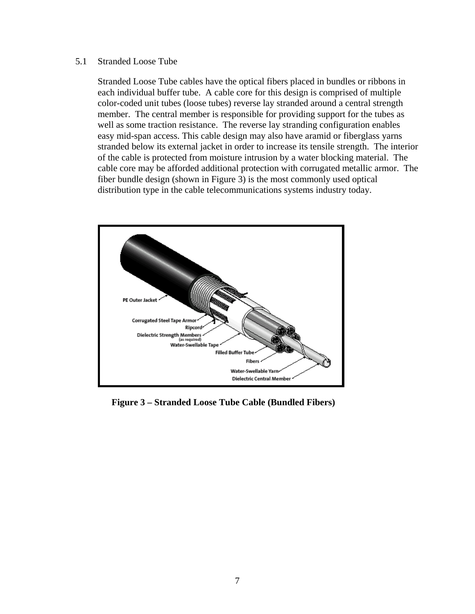#### 5.1 Stranded Loose Tube

Stranded Loose Tube cables have the optical fibers placed in bundles or ribbons in each individual buffer tube. A cable core for this design is comprised of multiple color-coded unit tubes (loose tubes) reverse lay stranded around a central strength member. The central member is responsible for providing support for the tubes as well as some traction resistance. The reverse lay stranding configuration enables easy mid-span access. This cable design may also have aramid or fiberglass yarns stranded below its external jacket in order to increase its tensile strength. The interior of the cable is protected from moisture intrusion by a water blocking material. The cable core may be afforded additional protection with corrugated metallic armor. The fiber bundle design (shown in Figure 3) is the most commonly used optical distribution type in the cable telecommunications systems industry today.



**Figure 3 – Stranded Loose Tube Cable (Bundled Fibers)**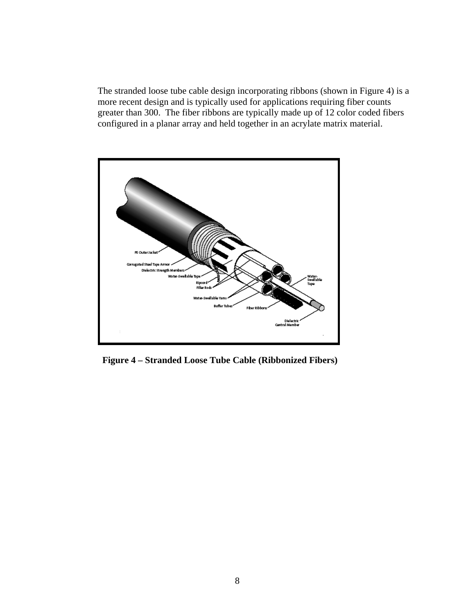The stranded loose tube cable design incorporating ribbons (shown in Figure 4) is a more recent design and is typically used for applications requiring fiber counts greater than 300. The fiber ribbons are typically made up of 12 color coded fibers configured in a planar array and held together in an acrylate matrix material.



 **Figure 4 – Stranded Loose Tube Cable (Ribbonized Fibers)**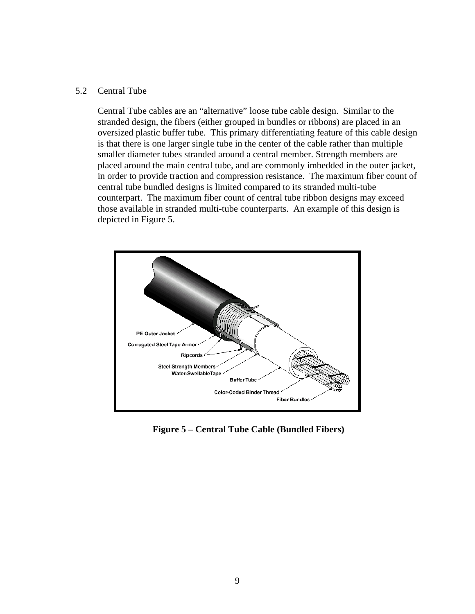#### 5.2 Central Tube

Central Tube cables are an "alternative" loose tube cable design. Similar to the stranded design, the fibers (either grouped in bundles or ribbons) are placed in an oversized plastic buffer tube. This primary differentiating feature of this cable design is that there is one larger single tube in the center of the cable rather than multiple smaller diameter tubes stranded around a central member. Strength members are placed around the main central tube, and are commonly imbedded in the outer jacket, in order to provide traction and compression resistance. The maximum fiber count of central tube bundled designs is limited compared to its stranded multi-tube counterpart. The maximum fiber count of central tube ribbon designs may exceed those available in stranded multi-tube counterparts. An example of this design is depicted in Figure 5.



**Figure 5 – Central Tube Cable (Bundled Fibers)**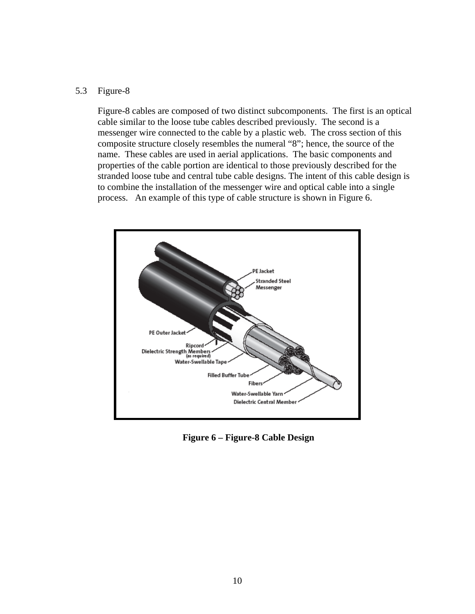#### 5.3 Figure-8

Figure-8 cables are composed of two distinct subcomponents. The first is an optical cable similar to the loose tube cables described previously. The second is a messenger wire connected to the cable by a plastic web. The cross section of this composite structure closely resembles the numeral "8"; hence, the source of the name. These cables are used in aerial applications. The basic components and properties of the cable portion are identical to those previously described for the stranded loose tube and central tube cable designs. The intent of this cable design is to combine the installation of the messenger wire and optical cable into a single process. An example of this type of cable structure is shown in Figure 6.



**Figure 6 – Figure-8 Cable Design**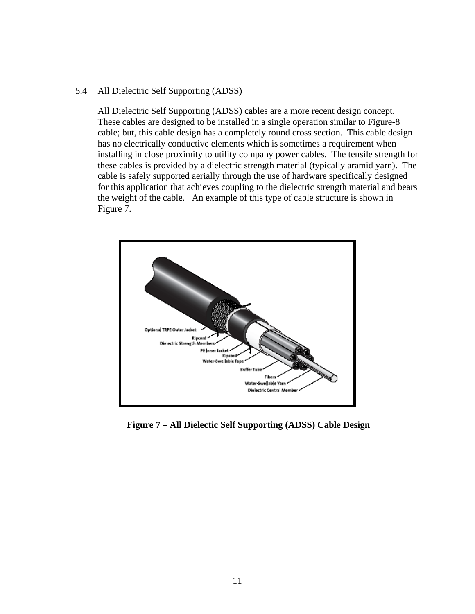#### 5.4 All Dielectric Self Supporting (ADSS)

All Dielectric Self Supporting (ADSS) cables are a more recent design concept. These cables are designed to be installed in a single operation similar to Figure-8 cable; but, this cable design has a completely round cross section. This cable design has no electrically conductive elements which is sometimes a requirement when installing in close proximity to utility company power cables. The tensile strength for these cables is provided by a dielectric strength material (typically aramid yarn). The cable is safely supported aerially through the use of hardware specifically designed for this application that achieves coupling to the dielectric strength material and bears the weight of the cable. An example of this type of cable structure is shown in Figure 7.



**Figure 7 – All Dielectic Self Supporting (ADSS) Cable Design**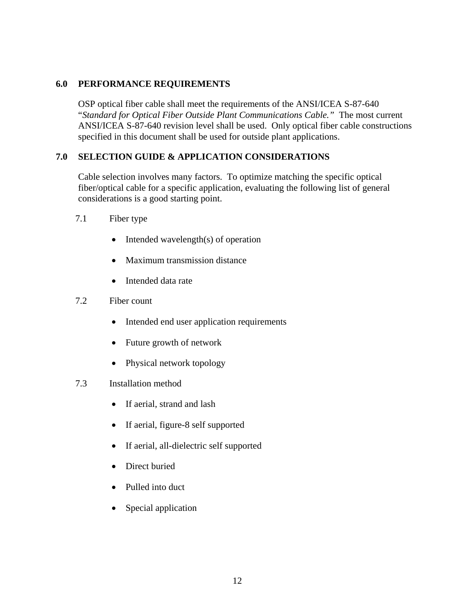#### **6.0 PERFORMANCE REQUIREMENTS**

OSP optical fiber cable shall meet the requirements of the ANSI/ICEA S-87-640 "*Standard for Optical Fiber Outside Plant Communications Cable."* The most current ANSI/ICEA S-87-640 revision level shall be used. Only optical fiber cable constructions specified in this document shall be used for outside plant applications.

#### **7.0 SELECTION GUIDE & APPLICATION CONSIDERATIONS**

Cable selection involves many factors. To optimize matching the specific optical fiber/optical cable for a specific application, evaluating the following list of general considerations is a good starting point.

- 7.1 Fiber type
	- Intended wavelength(s) of operation
	- Maximum transmission distance
	- Intended data rate
- 7.2 Fiber count
	- Intended end user application requirements
	- Future growth of network
	- Physical network topology

#### 7.3 Installation method

- If aerial, strand and lash
- If aerial, figure-8 self supported
- If aerial, all-dielectric self supported
- Direct buried
- Pulled into duct
- Special application